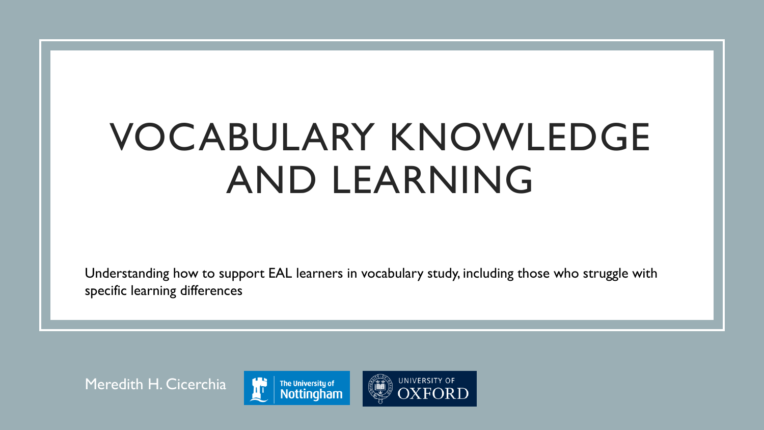# VOCABULARY KNOWLEDGE AND LEARNING

Understanding how to support EAL learners in vocabulary study, including those who struggle with specific learning differences

Meredith H. Cicerchia



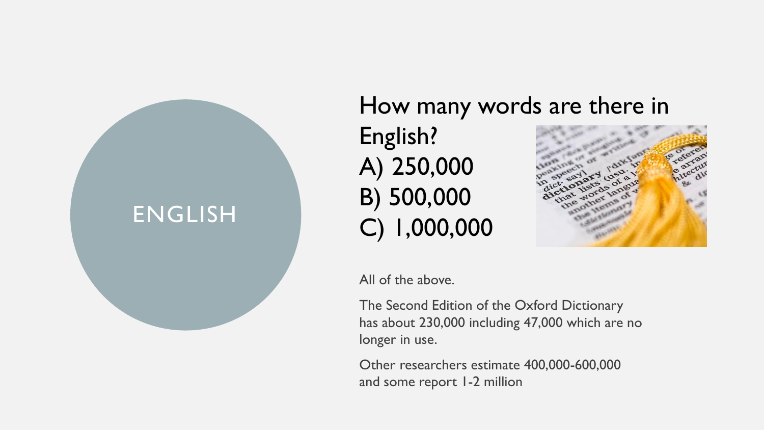# ENGLISH

# How many words are there in English? A) 250,000 B) 500,000 C) 1,000,000



All of the above.

The Second Edition of the Oxford Dictionary has about 230,000 including 47,000 which are no longer in use.

Other researchers estimate 400,000-600,000 and some report 1-2 million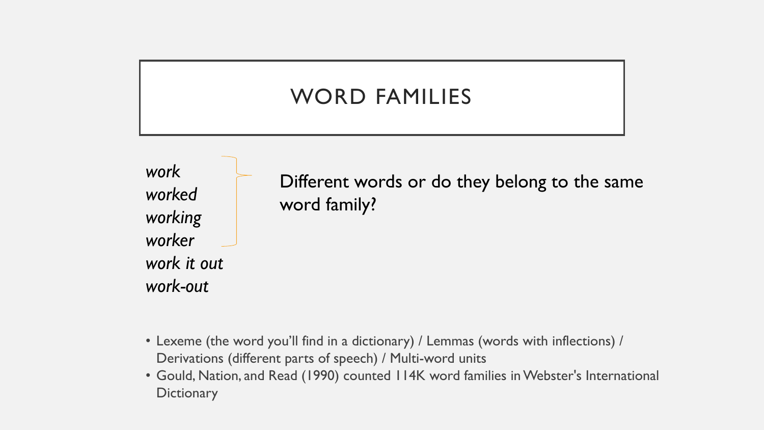## WORD FAMILIES

*work worked working worker work it out work-out*

Different words or do they belong to the same word family?

- Lexeme (the word you'll find in a dictionary) / Lemmas (words with inflections) / Derivations (different parts of speech) / Multi-word units
- Gould, Nation, and Read (1990) counted 114K word families in Webster's International **Dictionary**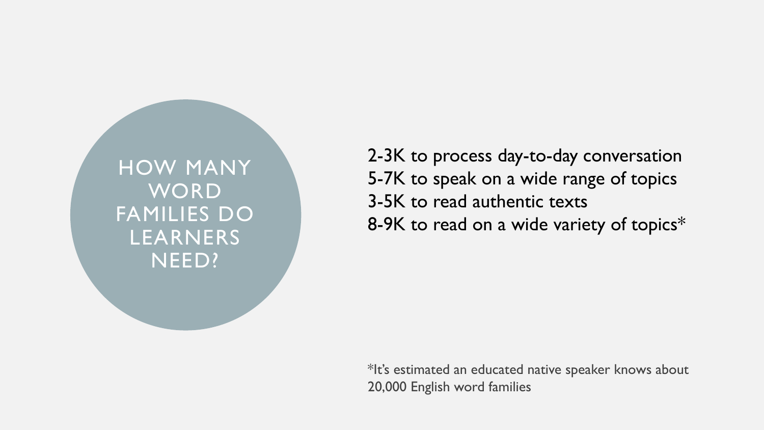HOW MANY WORD FAMILIES DO LEARNERS NEED?

2-3K to process day-to-day conversation 5-7K to speak on a wide range of topics 3-5K to read authentic texts 8-9K to read on a wide variety of topics\*

\*It's estimated an educated native speaker knows about 20,000 English word families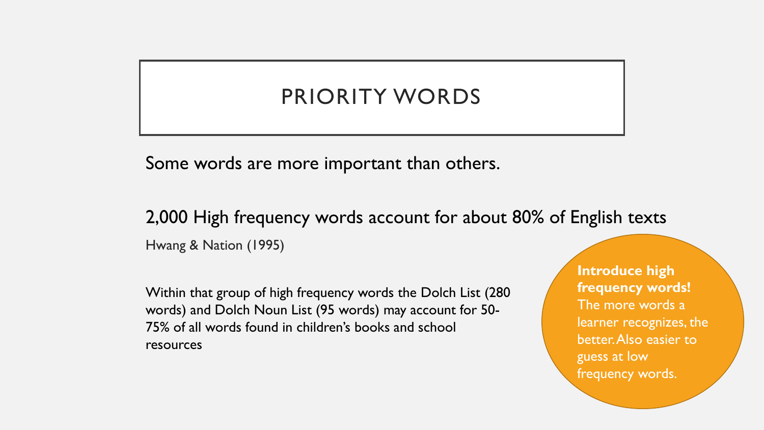### PRIORITY WORDS

Some words are more important than others.

2,000 High frequency words account for about 80% of English texts Hwang & Nation (1995)

Within that group of high frequency words the Dolch List (280 words) and Dolch Noun List (95 words) may account for 50- 75% of all words found in children's books and school resources

**Introduce high frequency words!**  The more words a learner recognizes, the better. Also easier to guess at low frequency words.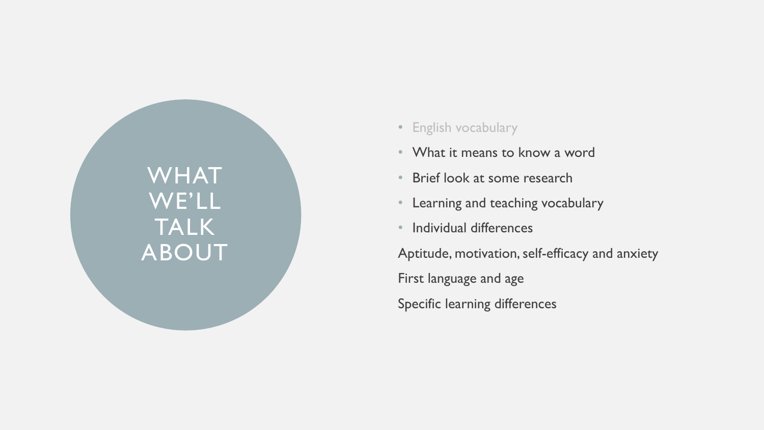WHAT WE'LL TALK ABOUT

- English vocabulary
- What it means to know a word
- Brief look at some research
- Learning and teaching vocabulary
- Individual differences

Aptitude, motivation, self-efficacy and anxiety First language and age Specific learning differences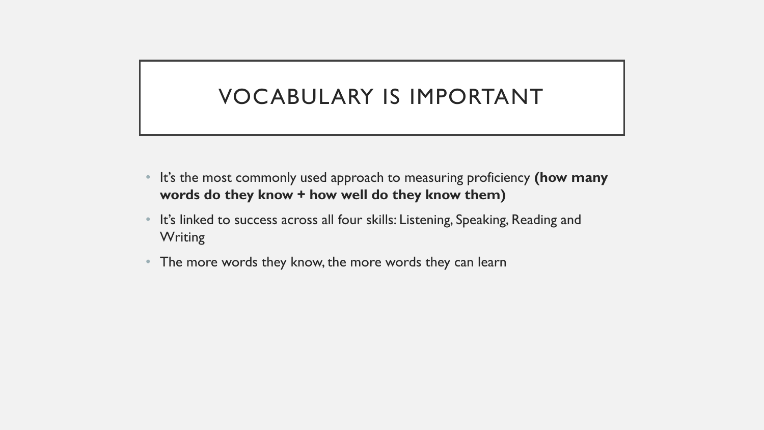### VOCABULARY IS IMPORTANT

- It's the most commonly used approach to measuring proficiency **(how many words do they know + how well do they know them)**
- It's linked to success across all four skills: Listening, Speaking, Reading and **Writing**
- The more words they know, the more words they can learn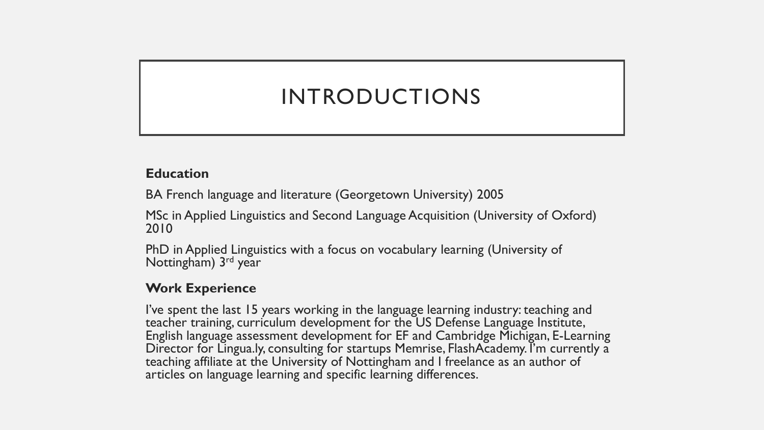# INTRODUCTIONS

#### **Education**

BA French language and literature (Georgetown University) 2005

MSc in Applied Linguistics and Second Language Acquisition (University of Oxford) 2010

PhD in Applied Linguistics with a focus on vocabulary learning (University of Nottingham) 3<sup>rd</sup> year

#### **Work Experience**

I've spent the last 15 years working in the language learning industry: teaching and teacher training, curriculum development for the US Defense Language Institute, English language assessment development for EF and Cambridge Michigan, E-Learning Director for Lingua.ly, consulting for startups Memrise, FlashAcademy. I'm currently a teaching affiliate at the University of Nottingham and I freelance as an author of articles on language learning and specific learning differences.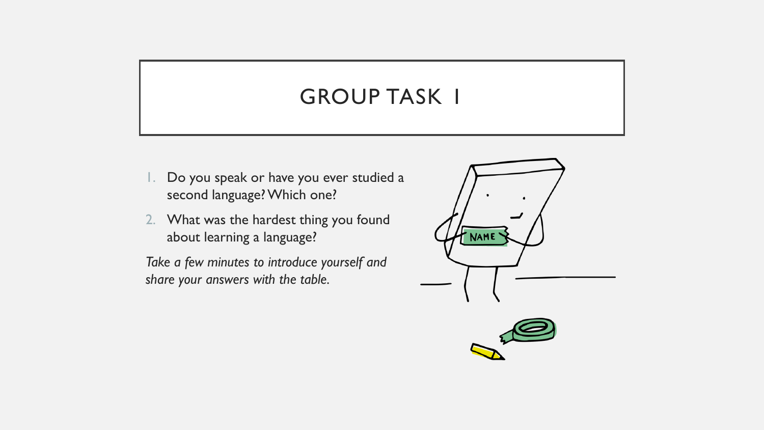### **GROUP TASK 1**

- 1. Do you speak or have you ever studied a second language? Which one?
- 2. What was the hardest thing you found about learning a language?

*Take a few minutes to introduce yourself and share your answers with the table.*

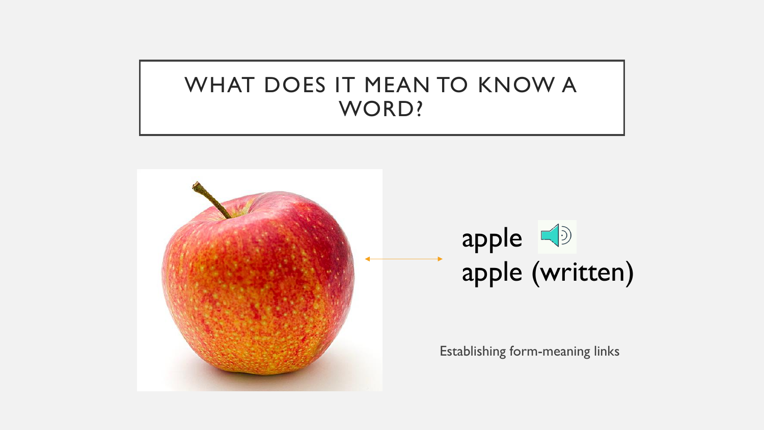### WHAT DOES IT MEAN TO KNOW A WORD?



# apple apple (written)

Establishing form-meaning links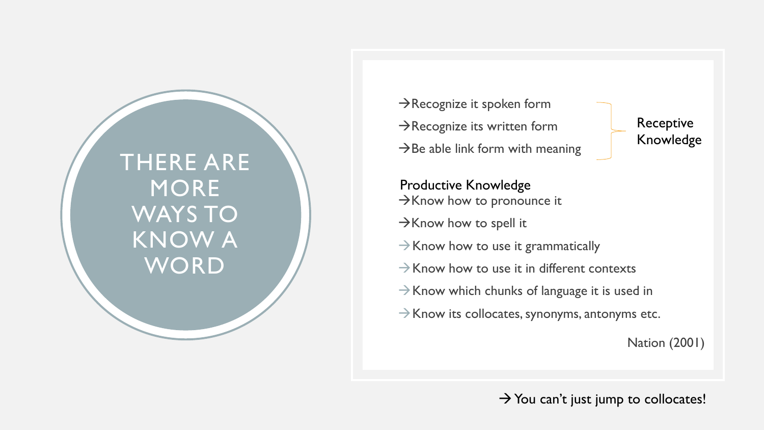THERE ARE MORE WAYS TO KNOW A **WORD** 

 $\rightarrow$ Recognize it spoken form  $\rightarrow$ Recognize its written form  $\rightarrow$  Be able link form with meaning

Receptive Knowledge

 $\rightarrow$ Know how to pronounce it Productive Knowledge

 $\rightarrow$ Know how to spell it

 $\rightarrow$  Know how to use it grammatically

 $\rightarrow$ Know how to use it in different contexts

 $\rightarrow$  Know which chunks of language it is used in

 $\rightarrow$  Know its collocates, synonyms, antonyms etc.

Nation (2001)

 $\rightarrow$  You can't just jump to collocates!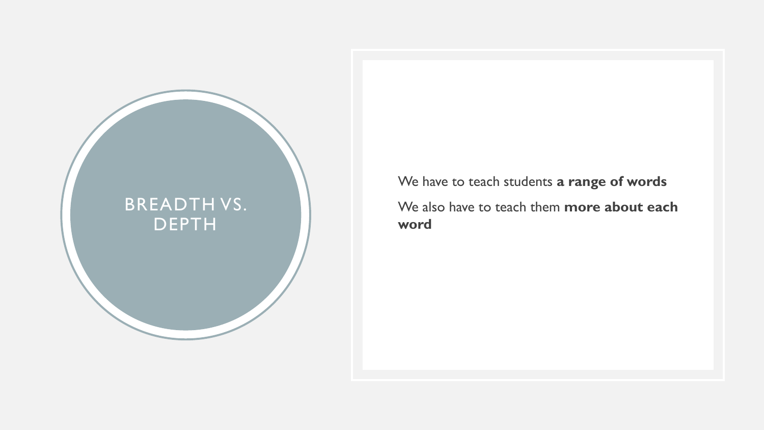

We have to teach students **a range of words** We also have to teach them **more about each word**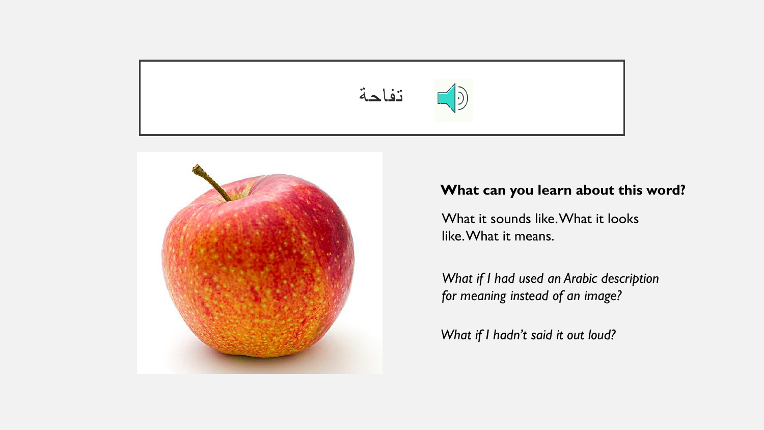



#### **What can you learn about this word?**

What it sounds like. What it looks like. What it means.

*What if I had used an Arabic description for meaning instead of an image?*

*What if I hadn't said it out loud?*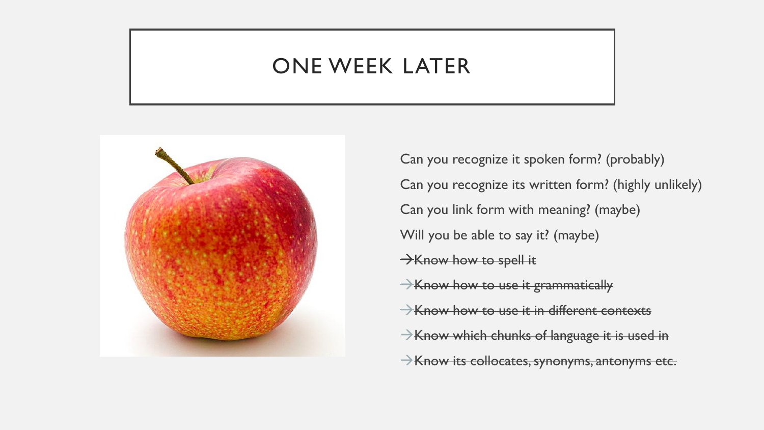#### ONE WEEK LATER



Can you recognize it spoken form? (probably) Can you recognize its written form? (highly unlikely) Can you link form with meaning? (maybe) Will you be able to say it? (maybe) Know how to spell it  $\rightarrow$  Know how to use it grammatically  $\rightarrow$ Know how to use it in different contexts  $\rightarrow$ Know which chunks of language it is used in Know its collocates, synonyms, antonyms etc.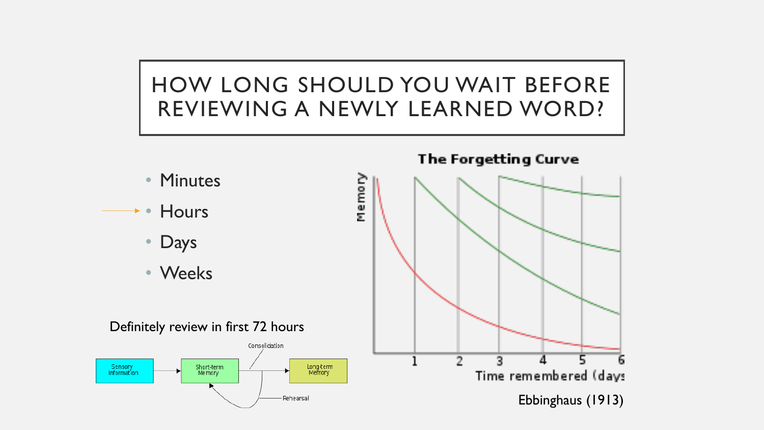# HOW LONG SHOULD YOU WAIT BEFORE REVIEWING A NEWLY LEARNED WORD?

• Minutes

• Hours

• Days

• Weeks



The Forgetting Curve

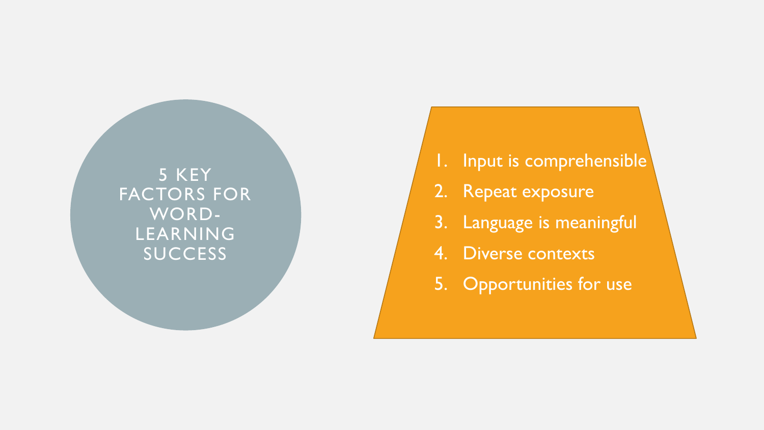5 KEY FACTORS FOR WORD - LEARNING **SUCCESS** 

- 1. Input is comprehensible
- 2. Repeat exposure
- 3. Language is meaningful
- 4. Diverse contexts
- 5. Opportunities for use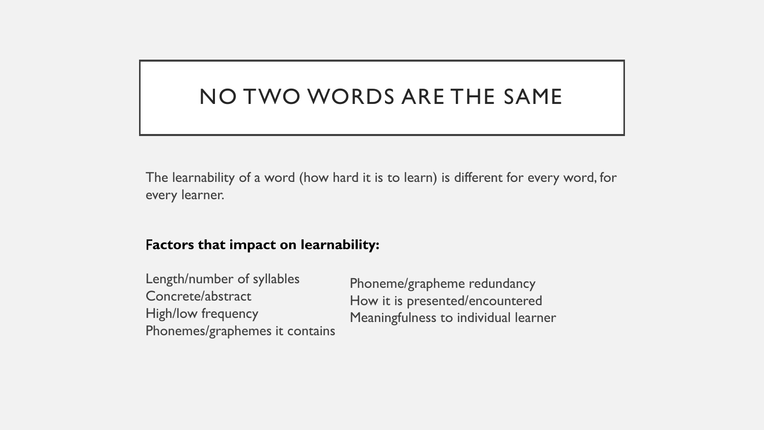### NO TWO WORDS ARE THE SAME

The learnability of a word (how hard it is to learn) is different for every word, for every learner.

#### F**actors that impact on learnability:**

| Length/number of syllables     | Phoneme/grapheme redundancy                                             |
|--------------------------------|-------------------------------------------------------------------------|
| Concrete/abstract              | How it is presented/encountered<br>Meaningfulness to individual learner |
| <b>High/low frequency</b>      |                                                                         |
| Phonemes/graphemes it contains |                                                                         |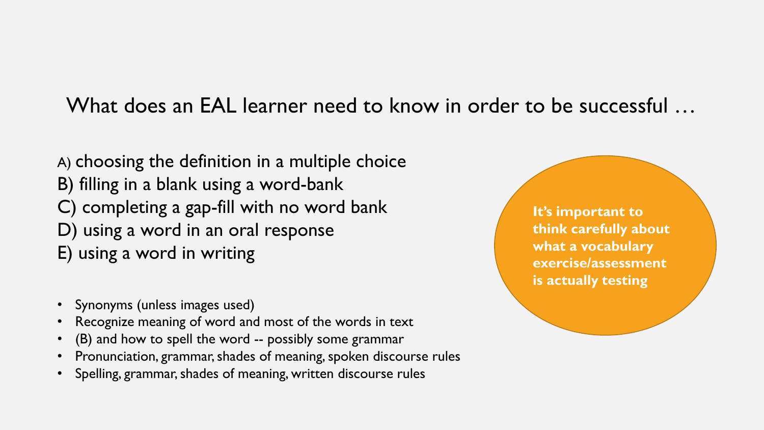#### What does an EAL learner need to know in order to be successful …

A) choosing the definition in a multiple choice B) filling in a blank using a word-bank C) completing a gap-fill with no word bank D) using a word in an oral response E) using a word in writing

- Synonyms (unless images used)
- Recognize meaning of word and most of the words in text
- (B) and how to spell the word -- possibly some grammar
- Pronunciation, grammar, shades of meaning, spoken discourse rules
- Spelling, grammar, shades of meaning, written discourse rules

**It's important to think carefully about what a vocabulary exercise/assessment is actually testing**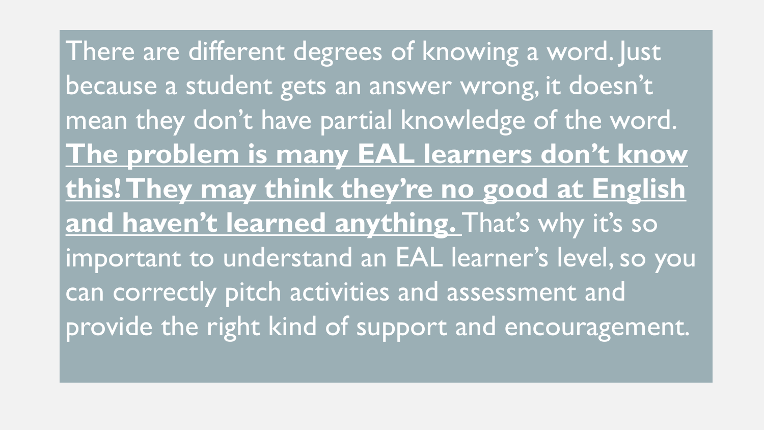There are different degrees of knowing a word. Just because a student gets an answer wrong, it doesn't mean they don't have partial knowledge of the word. **The problem is many EAL learners don't know this! They may think they're no good at English**  and haven't learned anything. That's why it's so important to understand an EAL learner's level, so you can correctly pitch activities and assessment and provide the right kind of support and encouragement.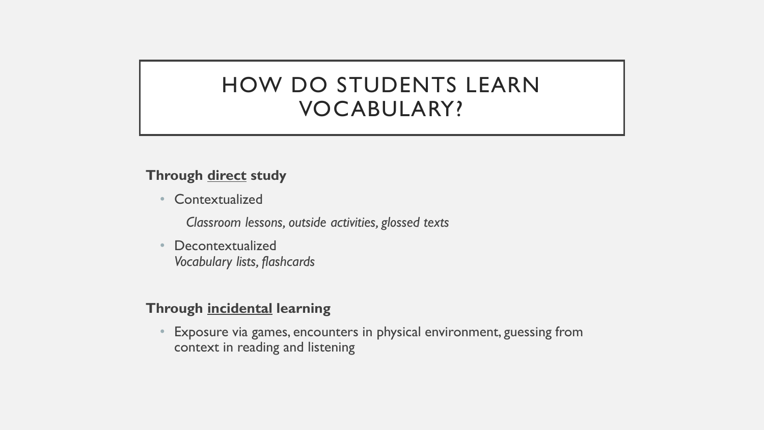### HOW DO STUDENTS LEARN VOCABULARY?

#### **Through direct study**

• Contextualized

*Classroom lessons, outside activities, glossed texts*

• Decontextualized *Vocabulary lists, flashcards*

#### **Through incidental learning**

• Exposure via games, encounters in physical environment, guessing from context in reading and listening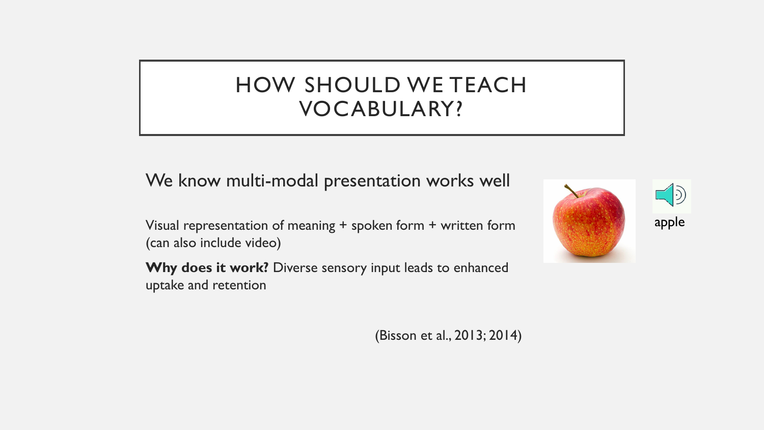### HOW SHOULD WE TEACH VOCABULARY?

We know multi-modal presentation works well

Visual representation of meaning + spoken form + written form (can also include video)

**Why does it work?** Diverse sensory input leads to enhanced uptake and retention





(Bisson et al., 2013; 2014)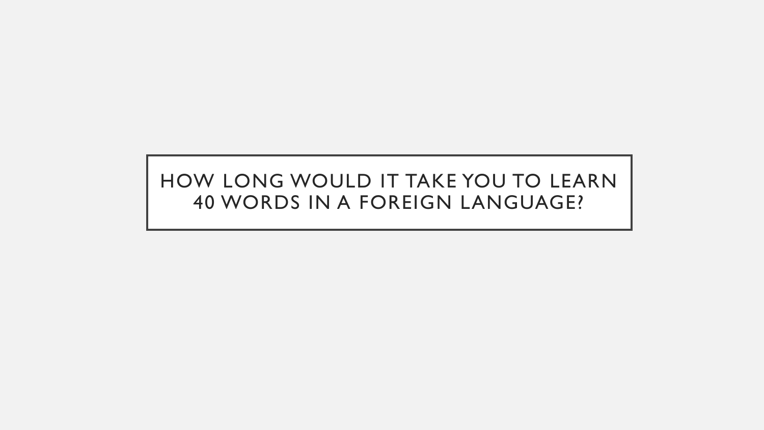#### HOW LONG WOULD IT TAKE YOU TO LEARN 40 WORDS IN A FOREIGN LANGUAGE?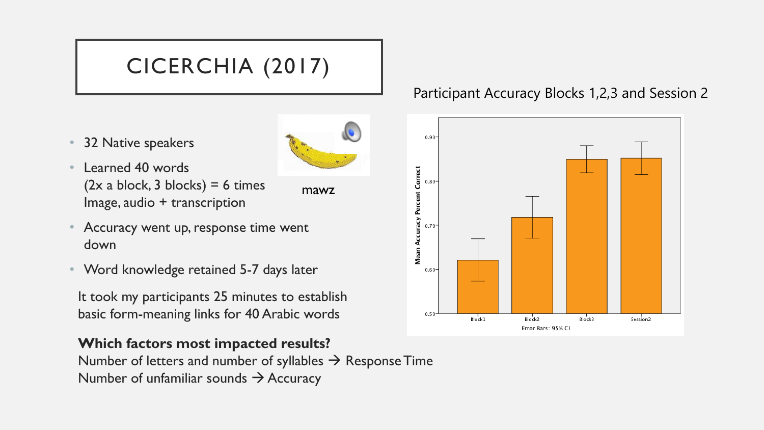# CICERCHIA (2017)

• 32 Native speakers



mawz

- Learned 40 words  $(2x a block, 3 blocks) = 6 times$ Image, audio + transcription
- Accuracy went up, response time went down
- Word knowledge retained 5-7 days later

It took my participants 25 minutes to establish basic form-meaning links for 40 Arabic words

#### **Which factors most impacted results?**

Number of letters and number of syllables  $\rightarrow$  Response Time Number of unfamiliar sounds  $\rightarrow$  Accuracy

#### Participant Accuracy Blocks 1,2,3 and Session 2

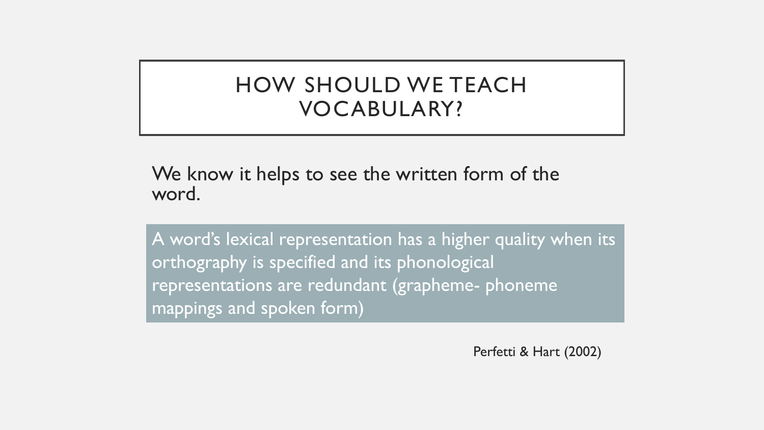### HOW SHOULD WE TEACH VOCABULARY?

We know it helps to see the written form of the word.

A word's lexical representation has a higher quality when its orthography is specified and its phonological representations are redundant (grapheme- phoneme mappings and spoken form)

Perfetti & Hart (2002)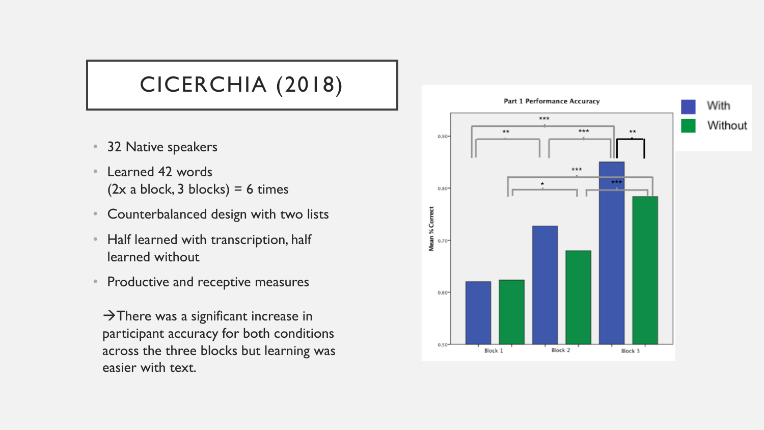# CICERCHIA (2018)

- 32 Native speakers
- Learned 42 words  $(2x a block, 3 blocks) = 6 times$
- Counterbalanced design with two lists
- Half learned with transcription, half learned without
- Productive and receptive measures

 $\rightarrow$ There was a significant increase in participant accuracy for both conditions across the three blocks but learning was easier with text.

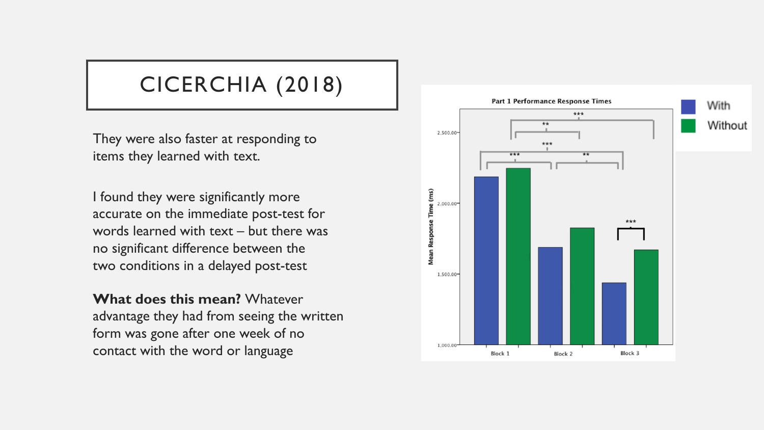### CICERCHIA (2018)

They were also faster at responding to items they learned with text.

I found they were significantly more accurate on the immediate post-test for words learned with text – but there was no significant difference between the two conditions in a delayed post-test

**What does this mean?** Whatever advantage they had from seeing the written form was gone after one week of no contact with the word or language

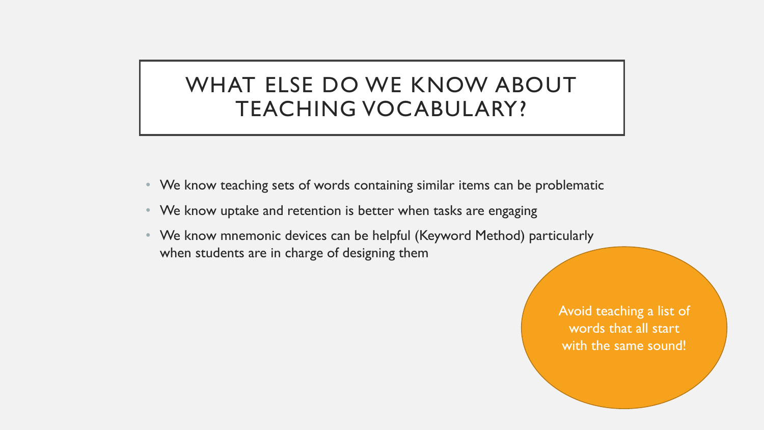### WHAT ELSE DO WE KNOW ABOUT TEACHING VOCABULARY?

- We know teaching sets of words containing similar items can be problematic
- We know uptake and retention is better when tasks are engaging
- We know mnemonic devices can be helpful (Keyword Method) particularly when students are in charge of designing them

Avoid teaching a list of words that all start with the same sound!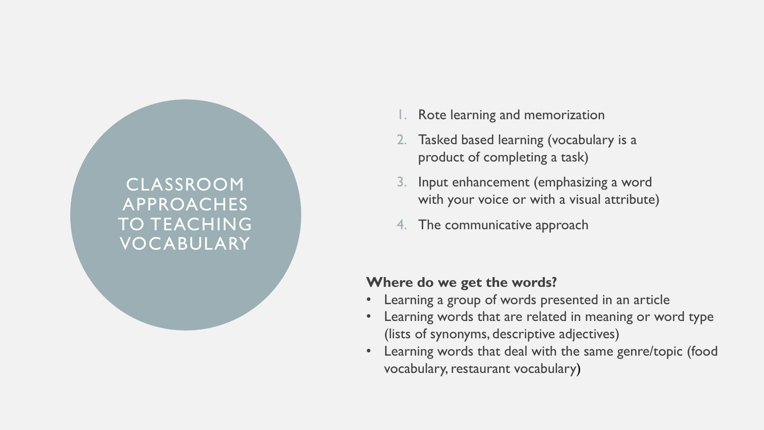#### CLASSROOM APPROACHES TO TEACHING VOCABULARY

- Rote learning and memorization
- 2. Tasked based learning (vocabulary is a product of completing a task)
- 3. Input enhancement (emphasizing a word with your voice or with a visual attribute)
- 4. The communicative approach

#### **Where do we get the words?**

- Learning a group of words presented in an article
- Learning words that are related in meaning or word type (lists of synonyms, descriptive adjectives)
- Learning words that deal with the same genre/topic (food vocabulary, restaurant vocabulary)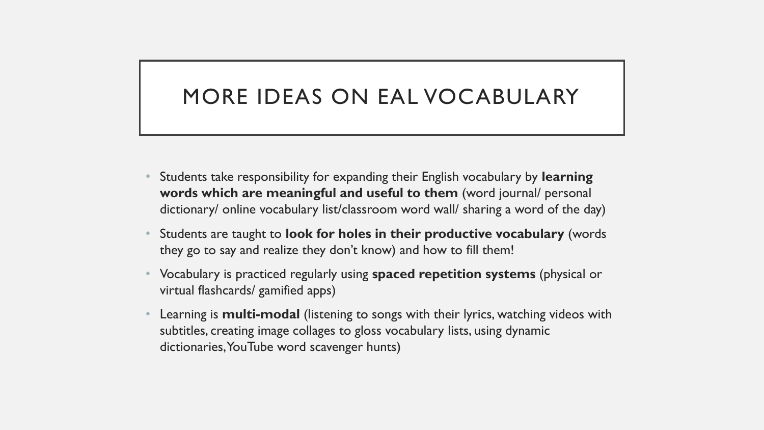### MORE IDEAS ON EAL VOCABULARY

- Students take responsibility for expanding their English vocabulary by **learning words which are meaningful and useful to them** (word journal/ personal dictionary/ online vocabulary list/classroom word wall/ sharing a word of the day)
- Students are taught to **look for holes in their productive vocabulary** (words they go to say and realize they don't know) and how to fill them!
- Vocabulary is practiced regularly using **spaced repetition systems** (physical or virtual flashcards/ gamified apps)
- Learning is **multi-modal** (listening to songs with their lyrics, watching videos with subtitles, creating image collages to gloss vocabulary lists, using dynamic dictionaries, YouTube word scavenger hunts)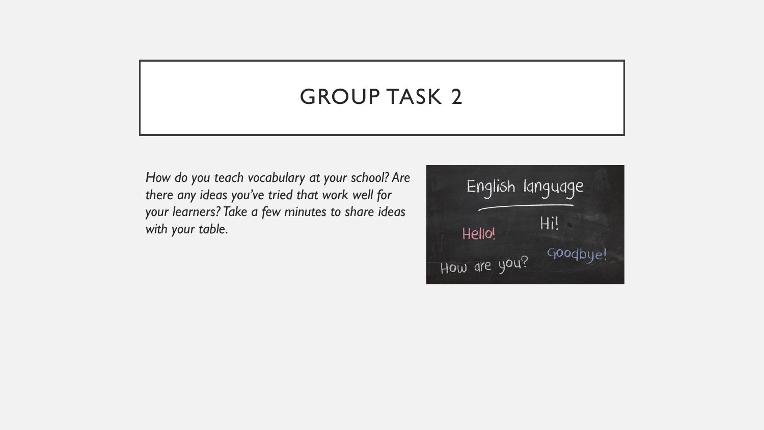### GROUP TASK 2

*How do you teach vocabulary at your school? Are there any ideas you've tried that work well for your learners? Take a few minutes to share ideas with your table.*

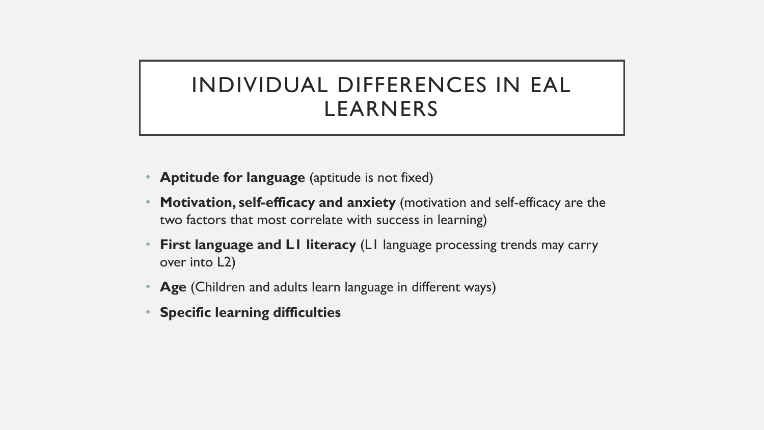### INDIVIDUAL DIFFERENCES IN EAL LEARNERS

- **Aptitude for language** (aptitude is not fixed)
- **Motivation, self-efficacy and anxiety** (motivation and self-efficacy are the two factors that most correlate with success in learning)
- **First language and L1 literacy** (L1 language processing trends may carry over into L2)
- **Age** (Children and adults learn language in different ways)
- **Specific learning difficulties**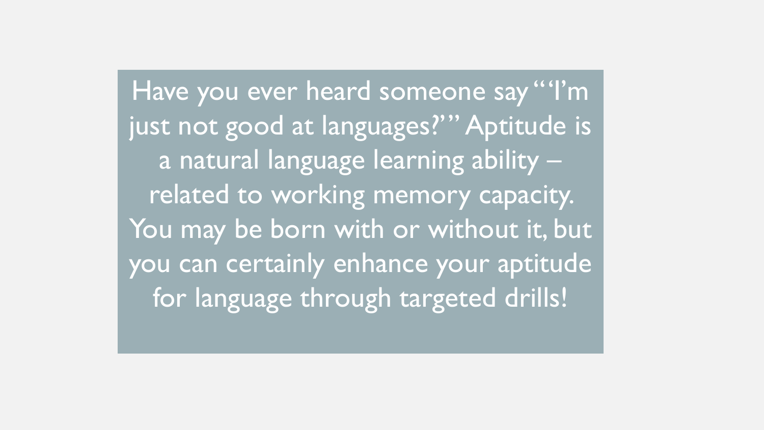Have you ever heard someone say "'I'm just not good at languages?'" Aptitude is a natural language learning ability – related to working memory capacity. You may be born with or without it, but you can certainly enhance your aptitude for language through targeted drills!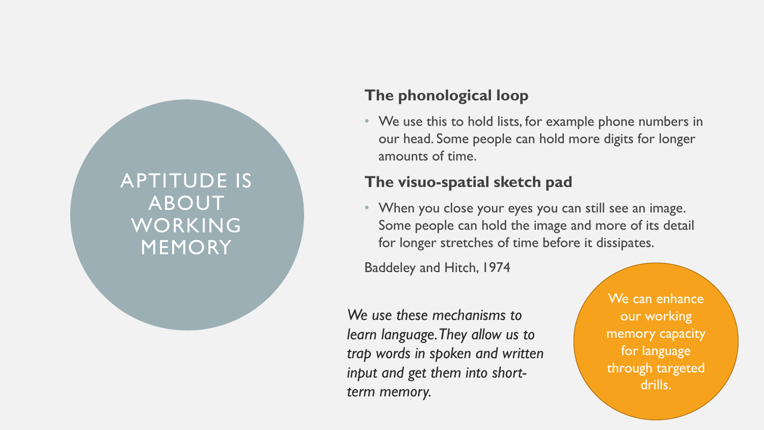#### APTITUDE IS ABOUT WORKING MEMORY

#### **The phonological loop**

• We use this to hold lists, for example phone numbers in our head. Some people can hold more digits for longer amounts of time.

#### **The visuo-spatial sketch pad**

• When you close your eyes you can still see an image. Some people can hold the image and more of its detail for longer stretches of time before it dissipates.

Baddeley and Hitch, 1974

*We use these mechanisms to learn language. They allow us to trap words in spoken and written input and get them into shortterm memory.* 

We can enhance our working memory capacity for language through targeted drills.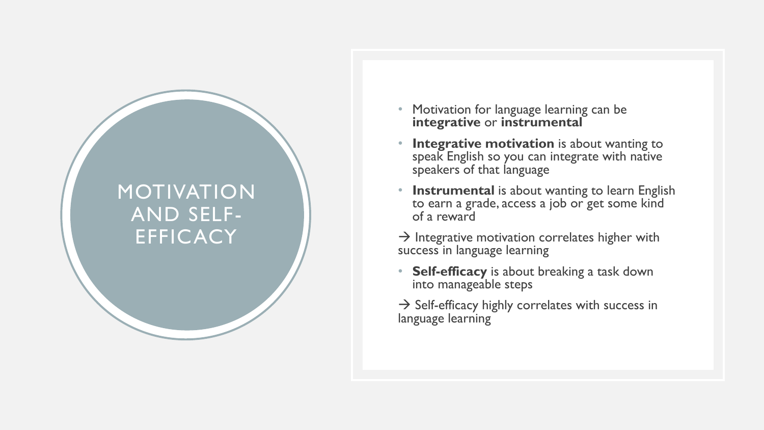#### MOTIVATION AND SELF - **EFFICACY**

- Motivation for language learning can be **integrative** or **instrumental**
- **Integrative motivation** is about wanting to speak English so you can integrate with native speakers of that language
- **Instrumental** is about wanting to learn English to earn a grade, access a job or get some kind of a reward
- $\rightarrow$  Integrative motivation correlates higher with success in language learning
- **Self-efficacy** is about breaking a task down into manageable steps
- $\rightarrow$  Self-efficacy highly correlates with success in language learning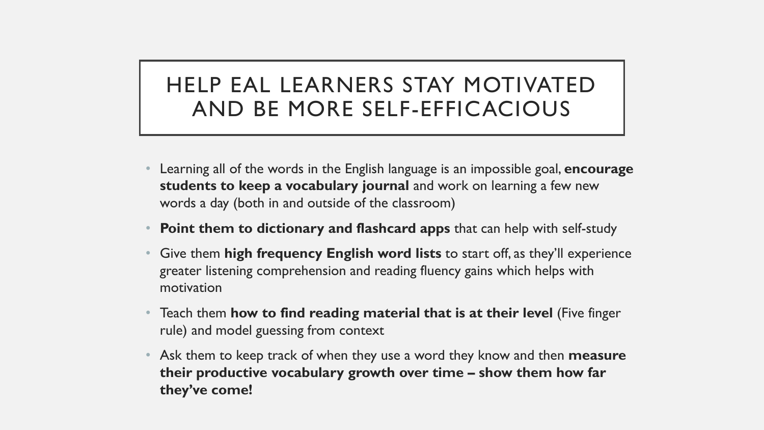### HELP EAL LEARNERS STAY MOTIVATED AND BE MORE SELF-EFFICACIOUS

- Learning all of the words in the English language is an impossible goal, **encourage students to keep a vocabulary journal** and work on learning a few new words a day (both in and outside of the classroom)
- **Point them to dictionary and flashcard apps** that can help with self-study
- Give them **high frequency English word lists** to start off, as they'll experience greater listening comprehension and reading fluency gains which helps with motivation
- Teach them **how to find reading material that is at their level** (Five finger rule) and model guessing from context
- Ask them to keep track of when they use a word they know and then **measure their productive vocabulary growth over time – show them how far they've come!**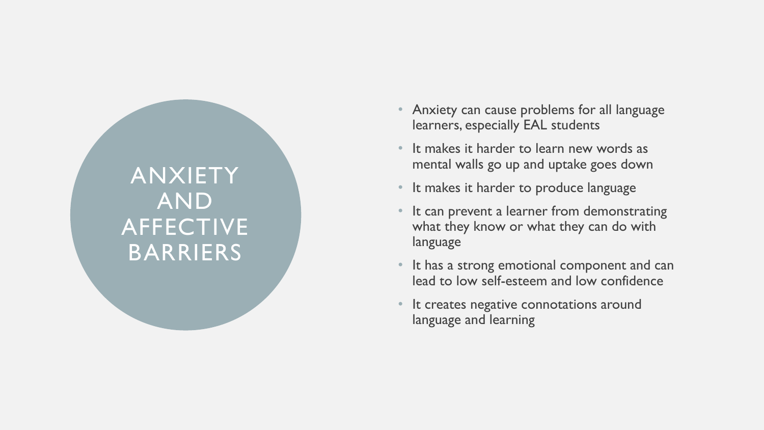# ANXIETY AND AFFECTIVE BARRIERS

- Anxiety can cause problems for all language learners, especially EAL students
- It makes it harder to learn new words as mental walls go up and uptake goes down
- It makes it harder to produce language
- It can prevent a learner from demonstrating what they know or what they can do with language
- It has a strong emotional component and can lead to low self-esteem and low confidence
- It creates negative connotations around language and learning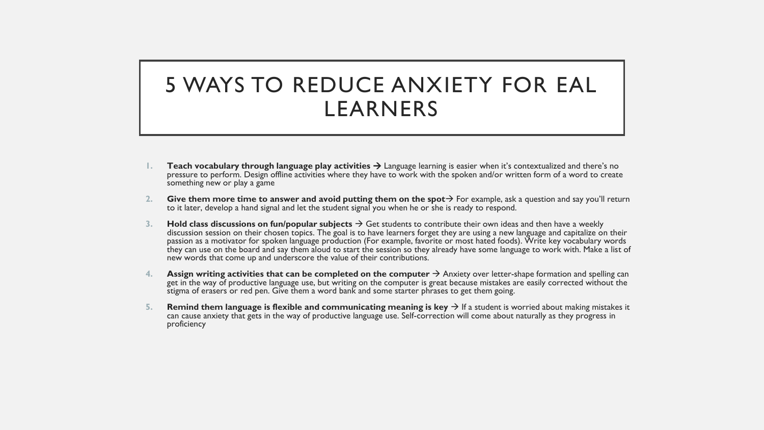### 5 WAYS TO REDUCE ANXIETY FOR EAL LEARNERS

- **Teach vocabulary through language play activities**  $\rightarrow$  **Language learning is easier when it's contextualized and there's no** pressure to perform. Design offline activities where they have to work with the spoken and/or written form of a word to create something new or play a game
- **2. Give them more time to answer and avoid putting them on the spot**  $\rightarrow$  For example, ask a question and say you'll return to it later, develop a hand signal and let the student signal you when he or she is ready to respond.
- **3. Hold class discussions on fun/popular subjects**  Get students to contribute their own ideas and then have a weekly discussion session on their chosen topics. The goal is to have learners forget they are using a new language and capitalize on their passion as a motivator for spoken language production (For example, favorite or most hated foods). Write key vocabulary words they can use on the board and say them aloud to start the session so they already have some language to work with. Make a list of new words that come up and underscore the value of their contributions.
- **4. Assign writing activities that can be completed on the computer**  Anxiety over letter-shape formation and spelling can get in the way of productive language use, but writing on the computer is great because mistakes are easily corrected without the stigma of erasers or red pen. Give them a word bank and some starter phrases to get them going.
- **5. Remind them language is flexible and communicating meaning is key**  $\rightarrow$  **If a student is worried about making mistakes it** can cause anxiety that gets in the way of productive language use. Self-correction will come about naturally as they progress in proficiency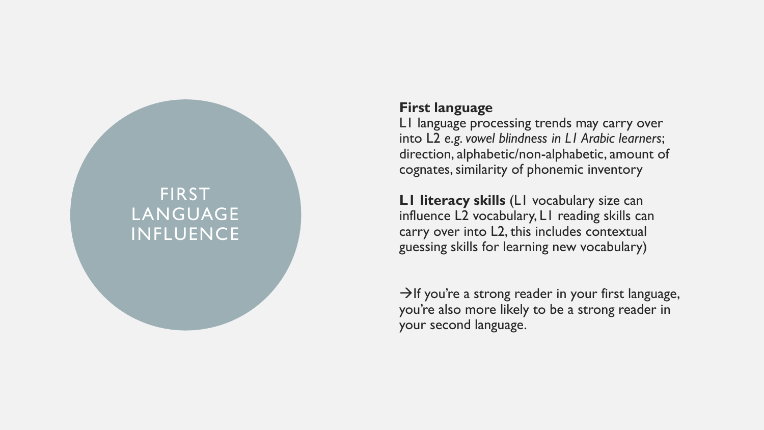#### FIRST LANGUAGE INFLUENCE

#### **First language**

L1 language processing trends may carry over into L2 *e.g. vowel blindness in L1 Arabic learners*; direction, alphabetic/non -alphabetic, amount of cognates, similarity of phonemic inventory

**L1 literacy skills** (L1 vocabulary size can influence L2 vocabulary, L1 reading skills can carry over into L2, this includes contextual guessing skills for learning new vocabulary)

 $\rightarrow$ If you're a strong reader in your first language, you're also more likely to be a strong reader in your second language.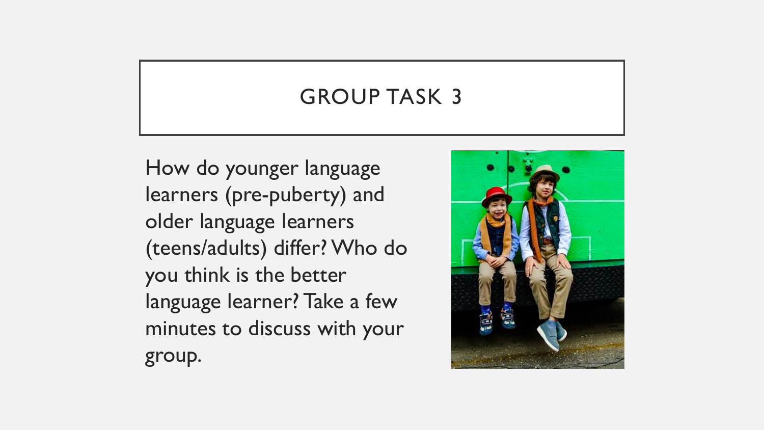### GROUP TASK 3

How do younger language learners (pre-puberty) and older language learners (teens/adults) differ? Who do you think is the better language learner? Take a few minutes to discuss with your group.

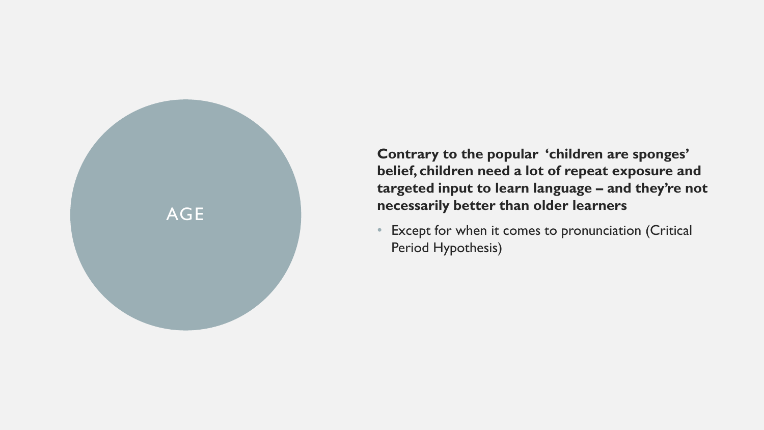

**Contrary to the popular 'children are sponges' belief, children need a lot of repeat exposure and targeted input to learn language – and they're not necessarily better than older learners**

Except for when it comes to pronunciation (Critical Period Hypothesis)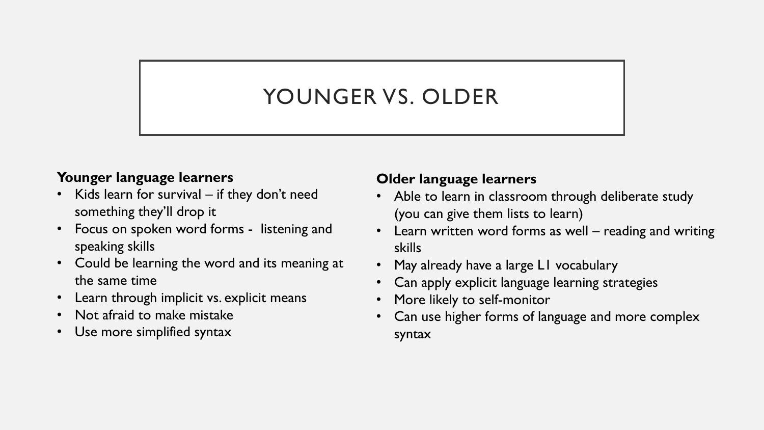# YOUNGER VS. OLDER

#### **Younger language learners**

- Kids learn for survival if they don't need something they'll drop it
- Focus on spoken word forms listening and speaking skills
- Could be learning the word and its meaning at the same time
- Learn through implicit vs. explicit means
- Not afraid to make mistake
- Use more simplified syntax

#### **Older language learners**

- Able to learn in classroom through deliberate study (you can give them lists to learn)
- Learn written word forms as well reading and writing skills
- May already have a large L1 vocabulary
- Can apply explicit language learning strategies
- More likely to self-monitor
- Can use higher forms of language and more complex syntax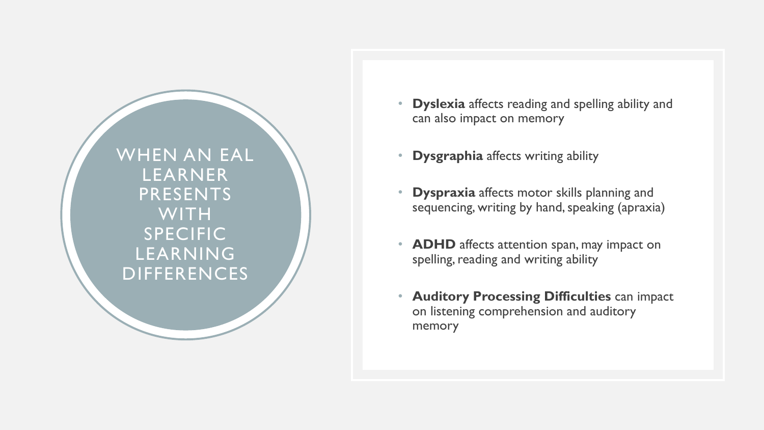WHEN AN EAL LEARNER PRESENTS **WITH SPECIFIC** LEARNING DIFFERENCES

- **Dyslexia** affects reading and spelling ability and can also impact on memory
- **Dysgraphia** affects writing ability
- **Dyspraxia** affects motor skills planning and sequencing, writing by hand, speaking (apraxia)
- **ADHD** affects attention span, may impact on spelling, reading and writing ability
- **Auditory Processing Difficulties** can impact on listening comprehension and auditory memory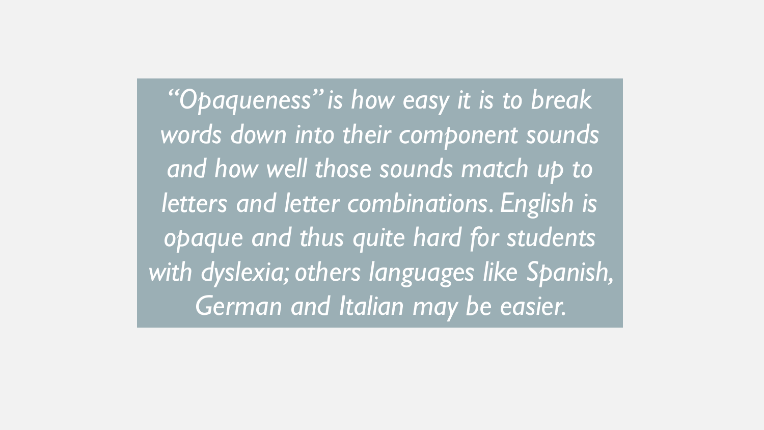*"Opaqueness" is how easy it is to break words down into their component sounds and how well those sounds match up to letters and letter combinations. English is opaque and thus quite hard for students with dyslexia; others languages like Spanish, German and Italian may be easier.*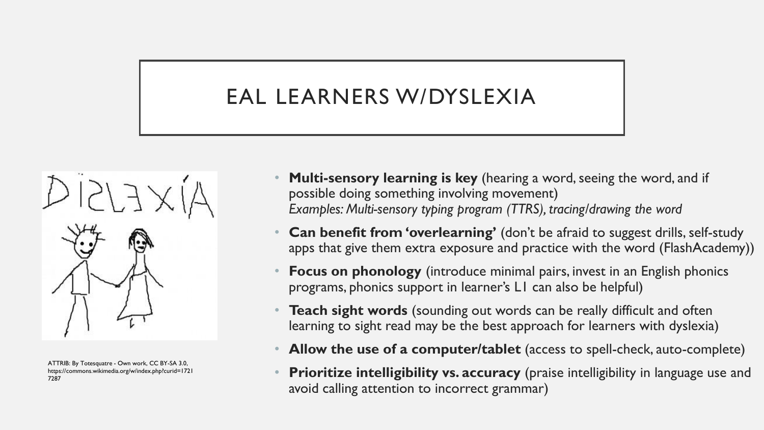# EAL LEARNERS W/DYSLEXIA



ATTRIB: By Totesquatre - Own work, CC BY-SA 3.0, https://commons.wikimedia.org/w/index.php?curid=1721 7287

- **Multi-sensory learning is key** (hearing a word, seeing the word, and if possible doing something involving movement) *Examples: Multi-sensory typing program (TTRS), tracing/drawing the word*
- **Can benefit from 'overlearning'** (don't be afraid to suggest drills, self-study apps that give them extra exposure and practice with the word (FlashAcademy))
- **Focus on phonology** (introduce minimal pairs, invest in an English phonics programs, phonics support in learner's L1 can also be helpful)
- **Teach sight words** (sounding out words can be really difficult and often learning to sight read may be the best approach for learners with dyslexia)
- **Allow the use of a computer/tablet** (access to spell-check, auto-complete)
- **Prioritize intelligibility vs. accuracy** (praise intelligibility in language use and avoid calling attention to incorrect grammar)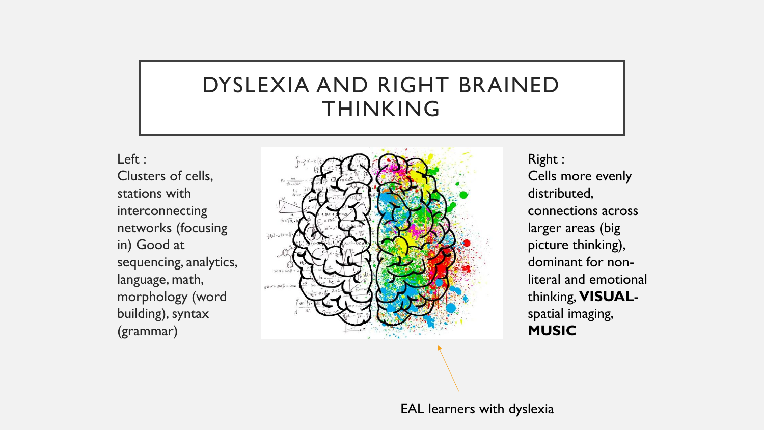### DYSLEXIA AND RIGHT BRAINED THINKING

Left : Clusters of cells, stations with interconnecting networks (focusing in) Good at sequencing, analytics, language, math, morphology (word building), syntax (grammar)



Right : Cells more evenly distributed, connections across larger areas (big picture thinking), dominant for nonliteral and emotional thinking, **VISUAL**spatial imaging, **MUSIC**

EAL learners with dyslexia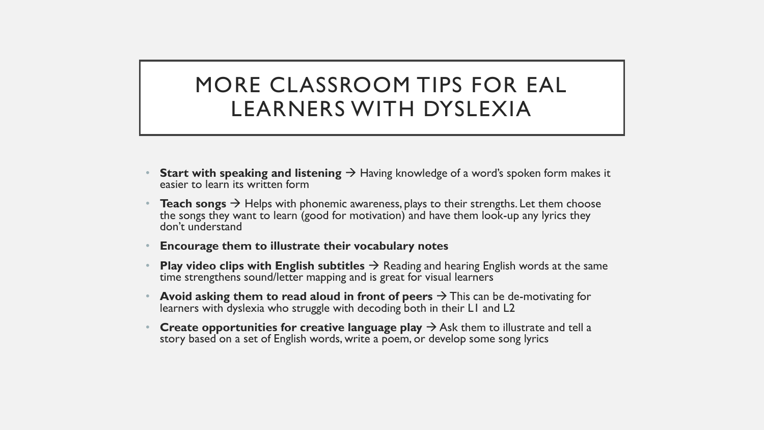### MORE CLASSROOM TIPS FOR EAL LEARNERS WITH DYSLEXIA

- **Start with speaking and listening**  $\rightarrow$  **Having knowledge of a word's spoken form makes it** easier to learn its written form
- **Teach songs**  $\rightarrow$  Helps with phonemic awareness, plays to their strengths. Let them choose the songs they want to learn (good for motivation) and have them look-up any lyrics they don't understand
- **Encourage them to illustrate their vocabulary notes**
- **Play video clips with English subtitles**  $\rightarrow$  Reading and hearing English words at the same time strengthens sound/letter mapping and is great for visual learners
- **Avoid asking them to read aloud in front of peers**  $\rightarrow$  **This can be de-motivating for** learners with dyslexia who struggle with decoding both in their L1 and L2
- **Create opportunities for creative language play**  $\rightarrow$  **Ask them to illustrate and tell a** story based on a set of English words, write a poem, or develop some song lyrics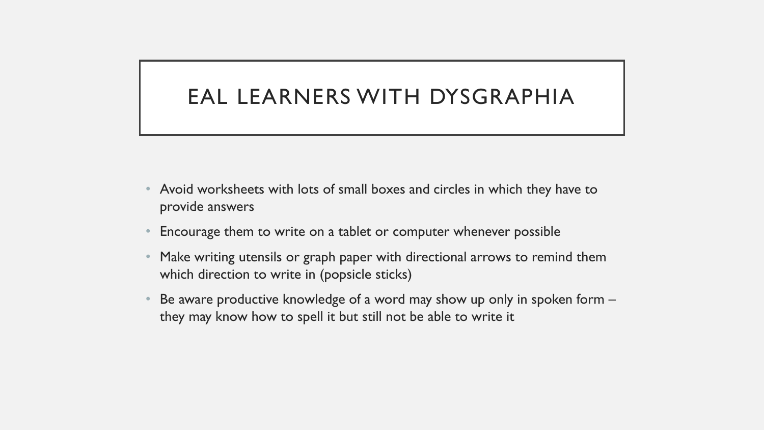#### EAL LEARNERS WITH DYSGRAPHIA

- Avoid worksheets with lots of small boxes and circles in which they have to provide answers
- Encourage them to write on a tablet or computer whenever possible
- Make writing utensils or graph paper with directional arrows to remind them which direction to write in (popsicle sticks)
- Be aware productive knowledge of a word may show up only in spoken form they may know how to spell it but still not be able to write it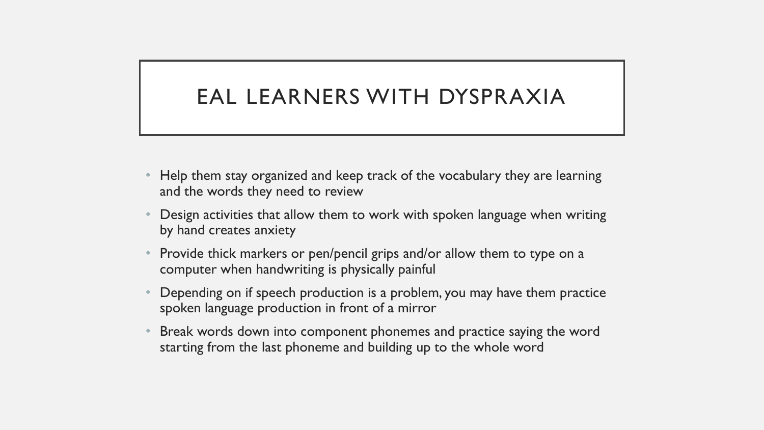### EAL LEARNERS WITH DYSPRAXIA

- Help them stay organized and keep track of the vocabulary they are learning and the words they need to review
- Design activities that allow them to work with spoken language when writing by hand creates anxiety
- Provide thick markers or pen/pencil grips and/or allow them to type on a computer when handwriting is physically painful
- Depending on if speech production is a problem, you may have them practice spoken language production in front of a mirror
- Break words down into component phonemes and practice saying the word starting from the last phoneme and building up to the whole word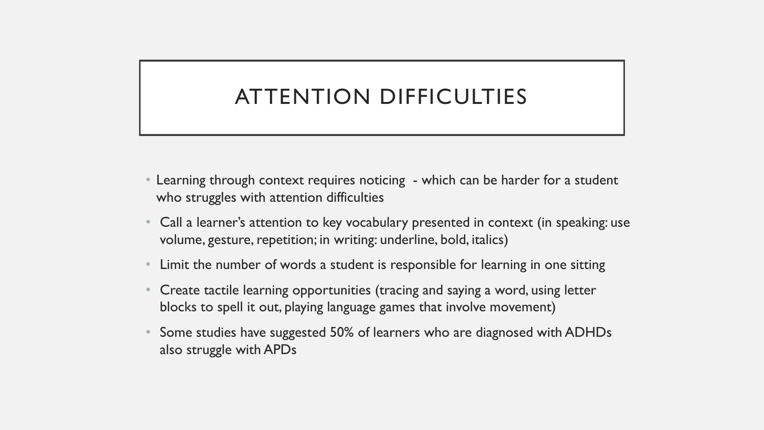# ATTENTION DIFFICULTIES

- Learning through context requires noticing which can be harder for a student who struggles with attention difficulties
- Call a learner's attention to key vocabulary presented in context (in speaking: use volume, gesture, repetition; in writing: underline, bold, italics)
- Limit the number of words a student is responsible for learning in one sitting
- Create tactile learning opportunities (tracing and saying a word, using letter blocks to spell it out, playing language games that involve movement)
- Some studies have suggested 50% of learners who are diagnosed with ADHDs also struggle with APDs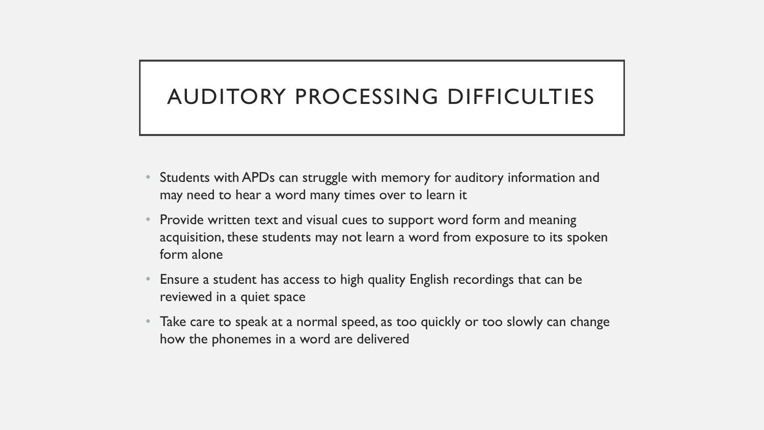## AUDITORY PROCESSING DIFFICULTIES

- Students with APDs can struggle with memory for auditory information and may need to hear a word many times over to learn it
- Provide written text and visual cues to support word form and meaning acquisition, these students may not learn a word from exposure to its spoken form alone
- Ensure a student has access to high quality English recordings that can be reviewed in a quiet space
- Take care to speak at a normal speed, as too quickly or too slowly can change how the phonemes in a word are delivered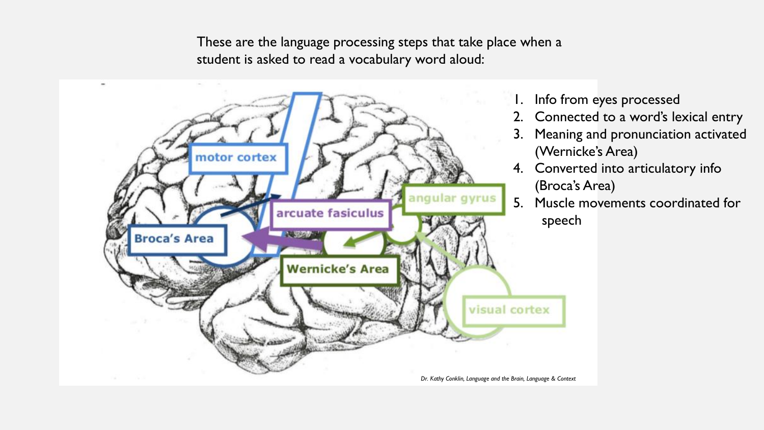These are the language processing steps that take place when a student is asked to read a vocabulary word aloud:



- 1. Info from eyes processed
- 2. Connected to a word's lexical entry
- 3. Meaning and pronunciation activated (Wernicke's Area)
- 4. Converted into articulatory info (Broca's Area)
- 5. Muscle movements coordinated for speech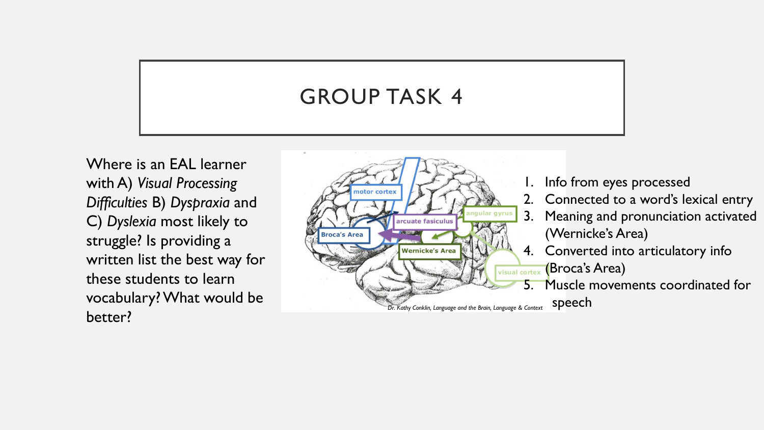# GROUP TASK 4

Where is an EAL learner with A) *Visual Processing Difficulties* B) *Dyspraxia* and C) *Dyslexia* most likely to struggle? Is providing a written list the best way for these students to learn vocabulary? What would be better?



- 1. Info from eyes processed
- 2. Connected to a word's lexical entry
- 3. Meaning and pronunciation activated (Wernicke's Area)
- 4. Converted into articulatory info (Broca's Area)
- 5. Muscle movements coordinated for speech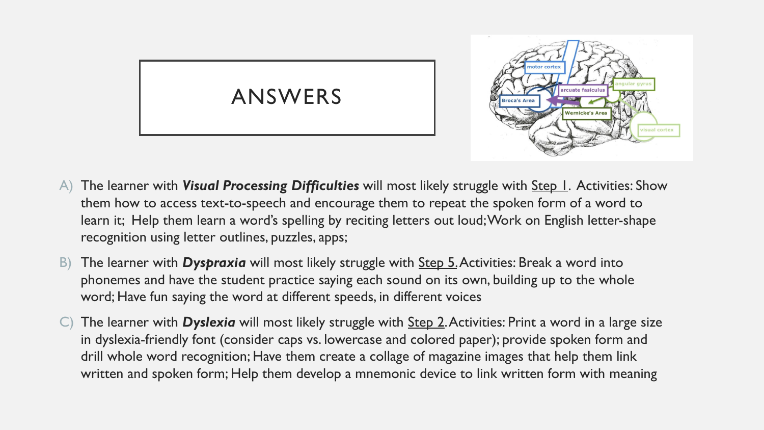



- A) The learner with *Visual Processing Difficulties* will most likely struggle with Step 1. Activities: Show them how to access text-to-speech and encourage them to repeat the spoken form of a word to learn it; Help them learn a word's spelling by reciting letters out loud; Work on English letter-shape recognition using letter outlines, puzzles, apps;
- B) The learner with *Dyspraxia* will most likely struggle with **Step 5**. Activities: Break a word into phonemes and have the student practice saying each sound on its own, building up to the whole word; Have fun saying the word at different speeds, in different voices
- C) The learner with *Dyslexia* will most likely struggle with Step 2. Activities: Print a word in a large size in dyslexia-friendly font (consider caps vs. lowercase and colored paper); provide spoken form and drill whole word recognition; Have them create a collage of magazine images that help them link written and spoken form; Help them develop a mnemonic device to link written form with meaning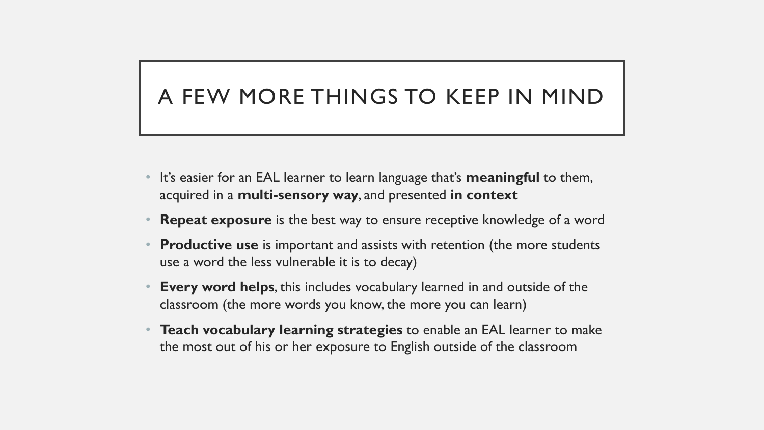# A FEW MORE THINGS TO KEEP IN MIND

- It's easier for an EAL learner to learn language that's **meaningful** to them, acquired in a **multi-sensory way**, and presented **in context**
- **Repeat exposure** is the best way to ensure receptive knowledge of a word
- **Productive use** is important and assists with retention (the more students use a word the less vulnerable it is to decay)
- **Every word helps**, this includes vocabulary learned in and outside of the classroom (the more words you know, the more you can learn)
- **Teach vocabulary learning strategies** to enable an EAL learner to make the most out of his or her exposure to English outside of the classroom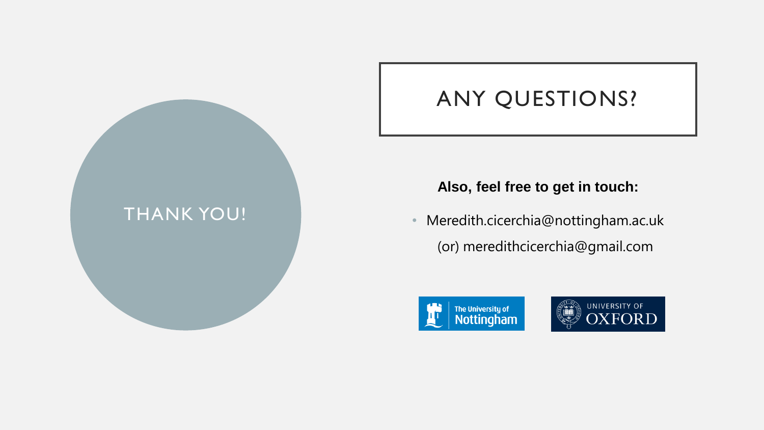

### ANY QUESTIONS?

#### **Also, feel free to get in touch:**

• Meredith.cicerchia@nottingham.ac.uk (or) meredithcicerchia@gmail.com